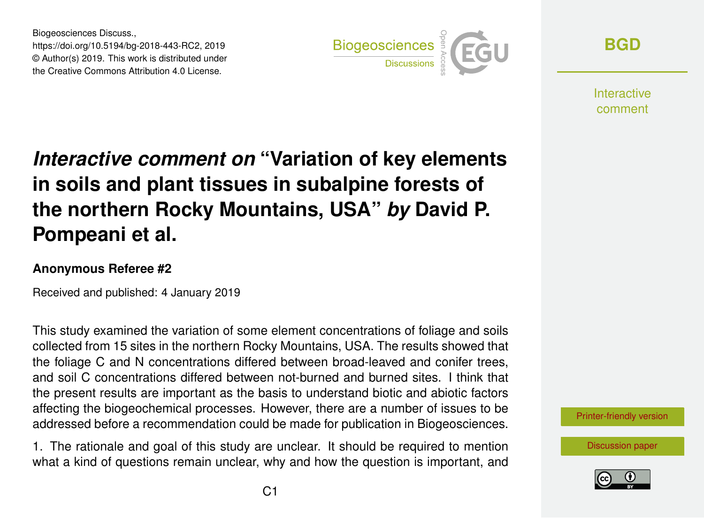Biogeosciences Discuss., https://doi.org/10.5194/bg-2018-443-RC2, 2019 © Author(s) 2019. This work is distributed under the Creative Commons Attribution 4.0 License.



**[BGD](https://www.biogeosciences-discuss.net/)**

**Interactive** comment

## *Interactive comment on* **"Variation of key elements in soils and plant tissues in subalpine forests of the northern Rocky Mountains, USA"** *by* **David P. Pompeani et al.**

## **Anonymous Referee #2**

Received and published: 4 January 2019

This study examined the variation of some element concentrations of foliage and soils collected from 15 sites in the northern Rocky Mountains, USA. The results showed that the foliage C and N concentrations differed between broad-leaved and conifer trees, and soil C concentrations differed between not-burned and burned sites. I think that the present results are important as the basis to understand biotic and abiotic factors affecting the biogeochemical processes. However, there are a number of issues to be addressed before a recommendation could be made for publication in Biogeosciences.

1. The rationale and goal of this study are unclear. It should be required to mention what a kind of questions remain unclear, why and how the question is important, and

[Printer-friendly version](https://www.biogeosciences-discuss.net/bg-2018-443/bg-2018-443-RC2-print.pdf)

[Discussion paper](https://www.biogeosciences-discuss.net/bg-2018-443)